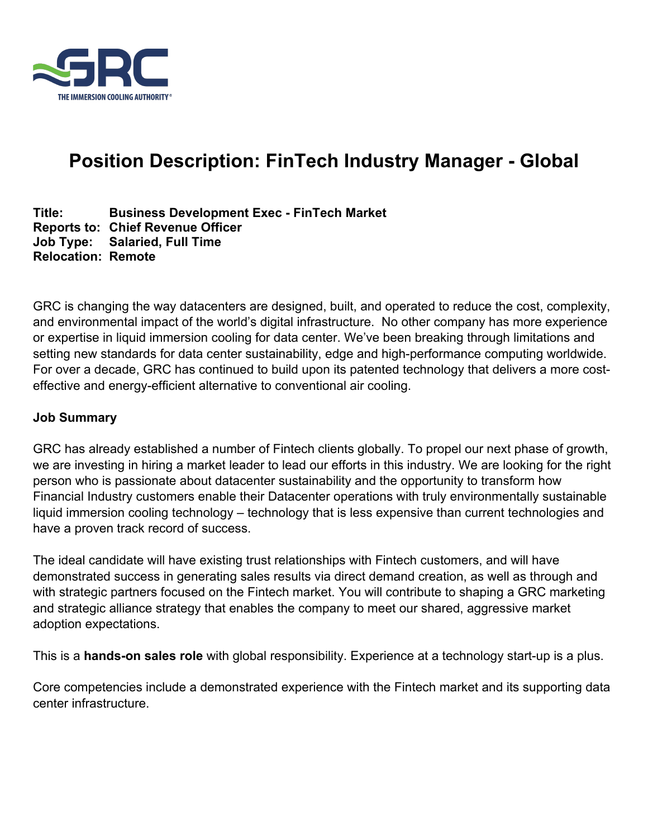

# **Position Description: FinTech Industry Manager - Global**

## **Title: Business Development Exec - FinTech Market Reports to: Chief Revenue Officer Job Type: Salaried, Full Time Relocation: Remote**

GRC is changing the way datacenters are designed, built, and operated to reduce the cost, complexity, and environmental impact of the world's digital infrastructure. No other company has more experience or expertise in liquid immersion cooling for data center. We've been breaking through limitations and setting new standards for data center sustainability, edge and high-performance computing worldwide. For over a decade, GRC has continued to build upon its patented technology that delivers a more costeffective and energy-efficient alternative to conventional air cooling.

#### **Job Summary**

GRC has already established a number of Fintech clients globally. To propel our next phase of growth, we are investing in hiring a market leader to lead our efforts in this industry. We are looking for the right person who is passionate about datacenter sustainability and the opportunity to transform how Financial Industry customers enable their Datacenter operations with truly environmentally sustainable liquid immersion cooling technology – technology that is less expensive than current technologies and have a proven track record of success.

The ideal candidate will have existing trust relationships with Fintech customers, and will have demonstrated success in generating sales results via direct demand creation, as well as through and with strategic partners focused on the Fintech market. You will contribute to shaping a GRC marketing and strategic alliance strategy that enables the company to meet our shared, aggressive market adoption expectations.

This is a **hands-on sales role** with global responsibility. Experience at a technology start-up is a plus.

Core competencies include a demonstrated experience with the Fintech market and its supporting data center infrastructure.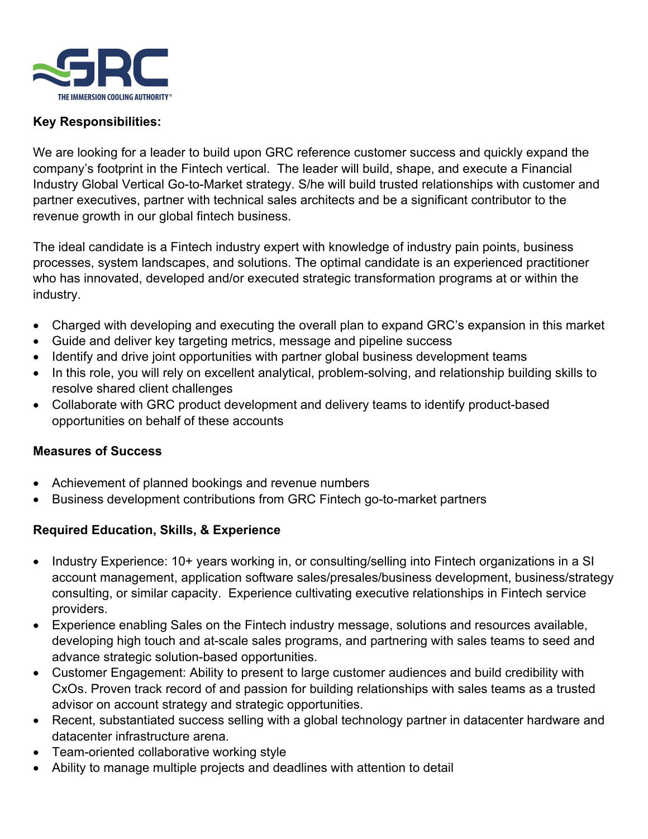

#### **Key Responsibilities:**

We are looking for a leader to build upon GRC reference customer success and quickly expand the company's footprint in the Fintech vertical. The leader will build, shape, and execute a Financial Industry Global Vertical Go-to-Market strategy. S/he will build trusted relationships with customer and partner executives, partner with technical sales architects and be a significant contributor to the revenue growth in our global fintech business.

The ideal candidate is a Fintech industry expert with knowledge of industry pain points, business processes, system landscapes, and solutions. The optimal candidate is an experienced practitioner who has innovated, developed and/or executed strategic transformation programs at or within the industry.

- Charged with developing and executing the overall plan to expand GRC's expansion in this market
- Guide and deliver key targeting metrics, message and pipeline success
- Identify and drive joint opportunities with partner global business development teams
- In this role, you will rely on excellent analytical, problem-solving, and relationship building skills to resolve shared client challenges
- Collaborate with GRC product development and delivery teams to identify product-based opportunities on behalf of these accounts

#### **Measures of Success**

- Achievement of planned bookings and revenue numbers
- Business development contributions from GRC Fintech go-to-market partners

# **Required Education, Skills, & Experience**

- Industry Experience: 10+ years working in, or consulting/selling into Fintech organizations in a SI account management, application software sales/presales/business development, business/strategy consulting, or similar capacity. Experience cultivating executive relationships in Fintech service providers.
- Experience enabling Sales on the Fintech industry message, solutions and resources available, developing high touch and at-scale sales programs, and partnering with sales teams to seed and advance strategic solution-based opportunities.
- Customer Engagement: Ability to present to large customer audiences and build credibility with CxOs. Proven track record of and passion for building relationships with sales teams as a trusted advisor on account strategy and strategic opportunities.
- Recent, substantiated success selling with a global technology partner in datacenter hardware and datacenter infrastructure arena.
- Team-oriented collaborative working style
- Ability to manage multiple projects and deadlines with attention to detail